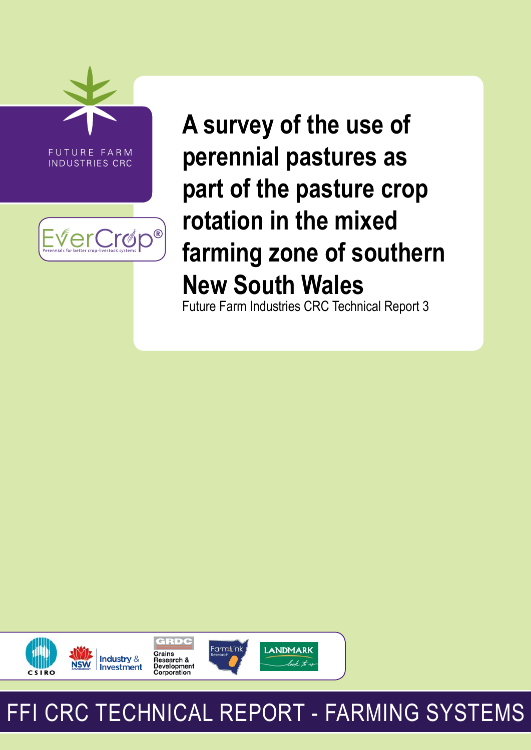

INDUSTRIES CRC



**A survey of the use of perennial pastures as part of the pasture crop rotation in the mixed farming zone of southern New South Wales**

Future Farm Industries CRC Technical Report 3



# FFI CRC TECHNICAL REPORT - FARMING SYSTEMS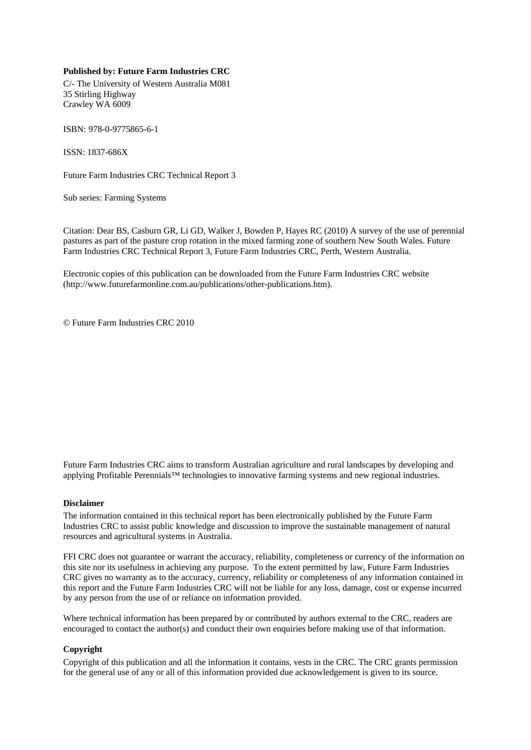#### **Published by: Future Farm Industries CRC**

C/- The University of Western Australia M081 35 Stirling Highway Crawley WA 6009

ISBN: 978-0-9775865-6-1

ISSN: 1837-686X

Future Farm Industries CRC Technical Report 3

Sub series: Farming Systems

Citation: Dear BS, Casburn GR, Li GD, Walker J, Bowden P, Hayes RC (2010) A survey of the use of perennial pastures as part of the pasture crop rotation in the mixed farming zone of southern New South Wales. Future Farm Industries CRC Technical Report 3, Future Farm Industries CRC, Perth, Western Australia.

Electronic copies of this publication can be downloaded from the Future Farm Industries CRC website (http://www.futurefarmonline.com.au/publications/other-publications.htm).

© Future Farm Industries CRC 2010

Future Farm Industries CRC aims to transform Australian agriculture and rural landscapes by developing and applying Profitable Perennials™ technologies to innovative farming systems and new regional industries.

#### **Disclaimer**

The information contained in this technical report has been electronically published by the Future Farm Industries CRC to assist public knowledge and discussion to improve the sustainable management of natural resources and agricultural systems in Australia.

FFI CRC does not guarantee or warrant the accuracy, reliability, completeness or currency of the information on this site nor its usefulness in achieving any purpose. To the extent permitted by law, Future Farm Industries CRC gives no warranty as to the accuracy, currency, reliability or completeness of any information contained in this report and the Future Farm Industries CRC will not be liable for any loss, damage, cost or expense incurred by any person from the use of or reliance on information provided.

Where technical information has been prepared by or contributed by authors external to the CRC, readers are encouraged to contact the author(s) and conduct their own enquiries before making use of that information.

#### **Copyright**

Copyright of this publication and all the information it contains, vests in the CRC. The CRC grants permission for the general use of any or all of this information provided due acknowledgement is given to its source.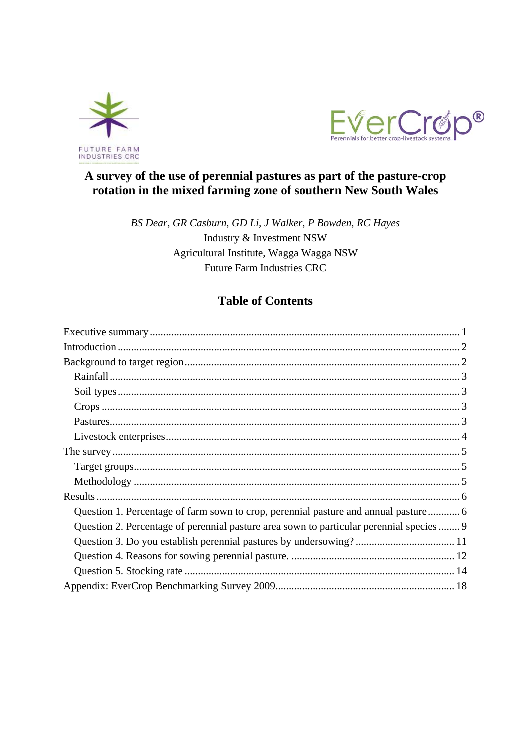



## A survey of the use of perennial pastures as part of the pasture-crop rotation in the mixed farming zone of southern New South Wales

BS Dear, GR Casburn, GD Li, J Walker, P Bowden, RC Hayes Industry & Investment NSW Agricultural Institute, Wagga Wagga NSW **Future Farm Industries CRC** 

## **Table of Contents**

| Question 1. Percentage of farm sown to crop, perennial pasture and annual pasture        |
|------------------------------------------------------------------------------------------|
| Question 2. Percentage of perennial pasture area sown to particular perennial species  9 |
|                                                                                          |
|                                                                                          |
|                                                                                          |
|                                                                                          |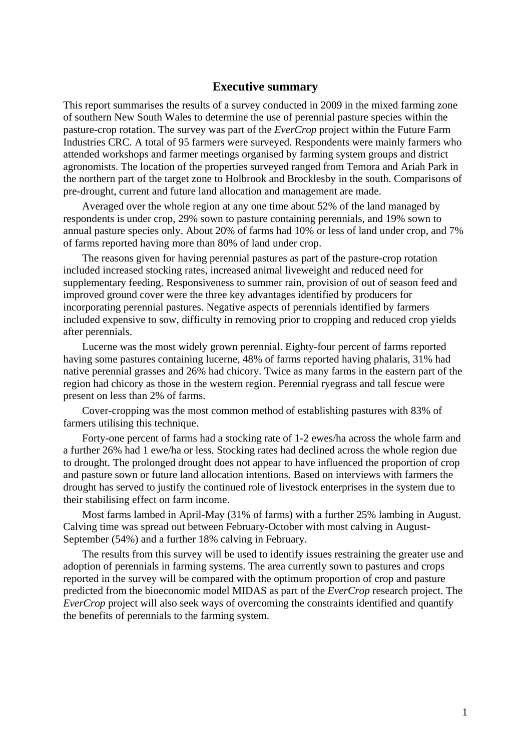#### **Executive summary**

This report summarises the results of a survey conducted in 2009 in the mixed farming zone of southern New South Wales to determine the use of perennial pasture species within the pasture-crop rotation. The survey was part of the *EverCrop* project within the Future Farm Industries CRC. A total of 95 farmers were surveyed. Respondents were mainly farmers who attended workshops and farmer meetings organised by farming system groups and district agronomists. The location of the properties surveyed ranged from Temora and Ariah Park in the northern part of the target zone to Holbrook and Brocklesby in the south. Comparisons of pre-drought, current and future land allocation and management are made.

 Averaged over the whole region at any one time about 52% of the land managed by respondents is under crop, 29% sown to pasture containing perennials, and 19% sown to annual pasture species only. About 20% of farms had 10% or less of land under crop, and 7% of farms reported having more than 80% of land under crop.

 The reasons given for having perennial pastures as part of the pasture-crop rotation included increased stocking rates, increased animal liveweight and reduced need for supplementary feeding. Responsiveness to summer rain, provision of out of season feed and improved ground cover were the three key advantages identified by producers for incorporating perennial pastures. Negative aspects of perennials identified by farmers included expensive to sow, difficulty in removing prior to cropping and reduced crop yields after perennials.

 Lucerne was the most widely grown perennial. Eighty-four percent of farms reported having some pastures containing lucerne, 48% of farms reported having phalaris, 31% had native perennial grasses and 26% had chicory. Twice as many farms in the eastern part of the region had chicory as those in the western region. Perennial ryegrass and tall fescue were present on less than 2% of farms.

 Cover-cropping was the most common method of establishing pastures with 83% of farmers utilising this technique.

 Forty-one percent of farms had a stocking rate of 1-2 ewes/ha across the whole farm and a further 26% had 1 ewe/ha or less. Stocking rates had declined across the whole region due to drought. The prolonged drought does not appear to have influenced the proportion of crop and pasture sown or future land allocation intentions. Based on interviews with farmers the drought has served to justify the continued role of livestock enterprises in the system due to their stabilising effect on farm income.

 Most farms lambed in April-May (31% of farms) with a further 25% lambing in August. Calving time was spread out between February-October with most calving in August-September (54%) and a further 18% calving in February.

 The results from this survey will be used to identify issues restraining the greater use and adoption of perennials in farming systems. The area currently sown to pastures and crops reported in the survey will be compared with the optimum proportion of crop and pasture predicted from the bioeconomic model MIDAS as part of the *EverCrop* research project. The *EverCrop* project will also seek ways of overcoming the constraints identified and quantify the benefits of perennials to the farming system.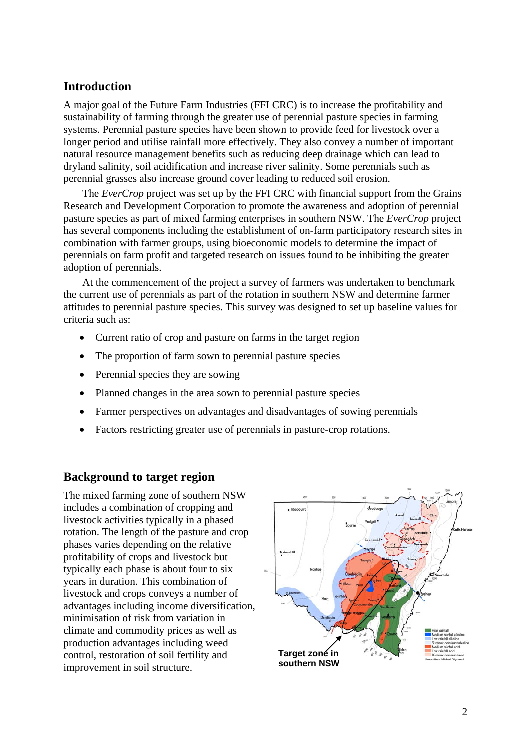## **Introduction**

A major goal of the Future Farm Industries (FFI CRC) is to increase the profitability and sustainability of farming through the greater use of perennial pasture species in farming systems. Perennial pasture species have been shown to provide feed for livestock over a longer period and utilise rainfall more effectively. They also convey a number of important natural resource management benefits such as reducing deep drainage which can lead to dryland salinity, soil acidification and increase river salinity. Some perennials such as perennial grasses also increase ground cover leading to reduced soil erosion.

 The *EverCrop* project was set up by the FFI CRC with financial support from the Grains Research and Development Corporation to promote the awareness and adoption of perennial pasture species as part of mixed farming enterprises in southern NSW. The *EverCrop* project has several components including the establishment of on-farm participatory research sites in combination with farmer groups, using bioeconomic models to determine the impact of perennials on farm profit and targeted research on issues found to be inhibiting the greater adoption of perennials.

 At the commencement of the project a survey of farmers was undertaken to benchmark the current use of perennials as part of the rotation in southern NSW and determine farmer attitudes to perennial pasture species. This survey was designed to set up baseline values for criteria such as:

- Current ratio of crop and pasture on farms in the target region
- The proportion of farm sown to perennial pasture species
- Perennial species they are sowing
- Planned changes in the area sown to perennial pasture species
- Farmer perspectives on advantages and disadvantages of sowing perennials
- Factors restricting greater use of perennials in pasture-crop rotations.

## **Background to target region**

The mixed farming zone of southern NSW includes a combination of cropping and livestock activities typically in a phased rotation. The length of the pasture and crop phases varies depending on the relative profitability of crops and livestock but typically each phase is about four to six years in duration. This combination of livestock and crops conveys a number of advantages including income diversification, minimisation of risk from variation in climate and commodity prices as well as production advantages including weed control, restoration of soil fertility and improvement in soil structure.

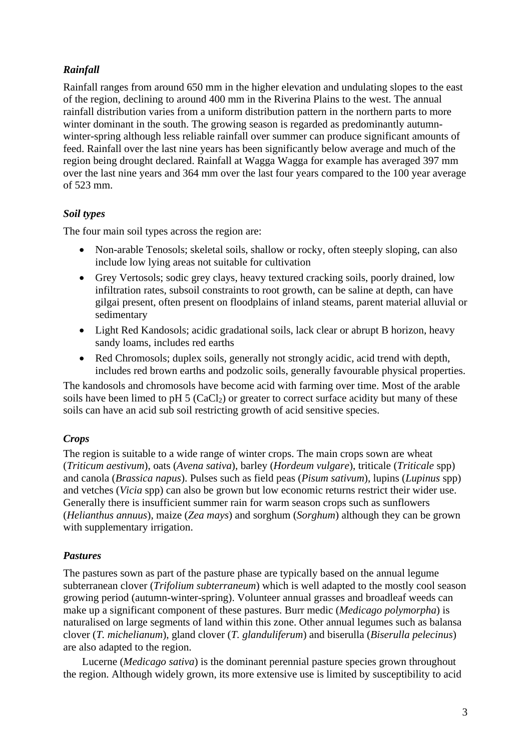## *Rainfall*

Rainfall ranges from around 650 mm in the higher elevation and undulating slopes to the east of the region, declining to around 400 mm in the Riverina Plains to the west. The annual rainfall distribution varies from a uniform distribution pattern in the northern parts to more winter dominant in the south. The growing season is regarded as predominantly autumnwinter-spring although less reliable rainfall over summer can produce significant amounts of feed. Rainfall over the last nine years has been significantly below average and much of the region being drought declared. Rainfall at Wagga Wagga for example has averaged 397 mm over the last nine years and 364 mm over the last four years compared to the 100 year average of 523 mm.

## *Soil types*

The four main soil types across the region are:

- Non-arable Tenosols; skeletal soils, shallow or rocky, often steeply sloping, can also include low lying areas not suitable for cultivation
- Grey Vertosols; sodic grey clays, heavy textured cracking soils, poorly drained, low infiltration rates, subsoil constraints to root growth, can be saline at depth, can have gilgai present, often present on floodplains of inland steams, parent material alluvial or sedimentary
- Light Red Kandosols; acidic gradational soils, lack clear or abrupt B horizon, heavy sandy loams, includes red earths
- Red Chromosols; duplex soils, generally not strongly acidic, acid trend with depth, includes red brown earths and podzolic soils, generally favourable physical properties.

The kandosols and chromosols have become acid with farming over time. Most of the arable soils have been limed to pH  $5$  (CaCl<sub>2</sub>) or greater to correct surface acidity but many of these soils can have an acid sub soil restricting growth of acid sensitive species.

## *Crops*

The region is suitable to a wide range of winter crops. The main crops sown are wheat (*Triticum aestivum*), oats (*Avena sativa*), barley (*Hordeum vulgare*), triticale (*Triticale* spp) and canola (*Brassica napus*). Pulses such as field peas (*Pisum sativum*), lupins (*Lupinus* spp) and vetches (*Vicia* spp) can also be grown but low economic returns restrict their wider use. Generally there is insufficient summer rain for warm season crops such as sunflowers (*Helianthus annuus*), maize (*Zea mays*) and sorghum (*Sorghum*) although they can be grown with supplementary irrigation.

#### *Pastures*

The pastures sown as part of the pasture phase are typically based on the annual legume subterranean clover (*Trifolium subterraneum*) which is well adapted to the mostly cool season growing period (autumn-winter-spring). Volunteer annual grasses and broadleaf weeds can make up a significant component of these pastures. Burr medic (*Medicago polymorpha*) is naturalised on large segments of land within this zone. Other annual legumes such as balansa clover (*T. michelianum*), gland clover (*T. glanduliferum*) and biserulla (*Biserulla pelecinus*) are also adapted to the region.

 Lucerne (*Medicago sativa*) is the dominant perennial pasture species grown throughout the region. Although widely grown, its more extensive use is limited by susceptibility to acid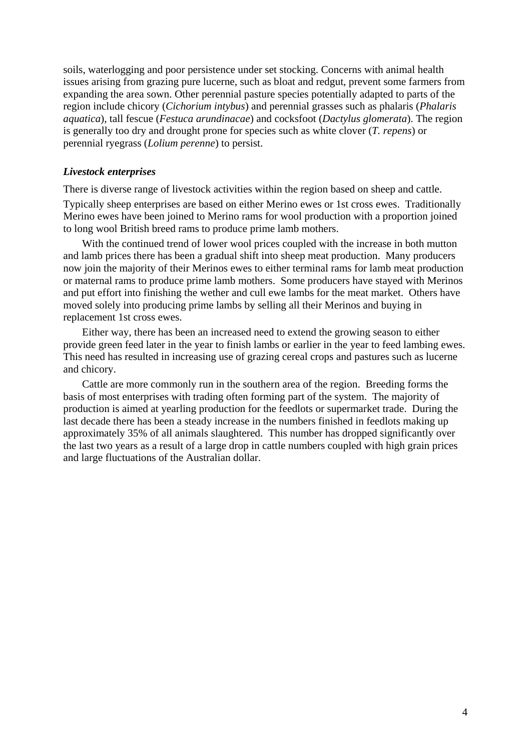soils, waterlogging and poor persistence under set stocking. Concerns with animal health issues arising from grazing pure lucerne, such as bloat and redgut, prevent some farmers from expanding the area sown. Other perennial pasture species potentially adapted to parts of the region include chicory (*Cichorium intybus*) and perennial grasses such as phalaris (*Phalaris aquatica*), tall fescue (*Festuca arundinacae*) and cocksfoot (*Dactylus glomerata*). The region is generally too dry and drought prone for species such as white clover (*T. repens*) or perennial ryegrass (*Lolium perenne*) to persist.

#### *Livestock enterprises*

There is diverse range of livestock activities within the region based on sheep and cattle. Typically sheep enterprises are based on either Merino ewes or 1st cross ewes. Traditionally Merino ewes have been joined to Merino rams for wool production with a proportion joined to long wool British breed rams to produce prime lamb mothers.

 With the continued trend of lower wool prices coupled with the increase in both mutton and lamb prices there has been a gradual shift into sheep meat production. Many producers now join the majority of their Merinos ewes to either terminal rams for lamb meat production or maternal rams to produce prime lamb mothers. Some producers have stayed with Merinos and put effort into finishing the wether and cull ewe lambs for the meat market. Others have moved solely into producing prime lambs by selling all their Merinos and buying in replacement 1st cross ewes.

 Either way, there has been an increased need to extend the growing season to either provide green feed later in the year to finish lambs or earlier in the year to feed lambing ewes. This need has resulted in increasing use of grazing cereal crops and pastures such as lucerne and chicory.

 Cattle are more commonly run in the southern area of the region. Breeding forms the basis of most enterprises with trading often forming part of the system. The majority of production is aimed at yearling production for the feedlots or supermarket trade. During the last decade there has been a steady increase in the numbers finished in feedlots making up approximately 35% of all animals slaughtered. This number has dropped significantly over the last two years as a result of a large drop in cattle numbers coupled with high grain prices and large fluctuations of the Australian dollar.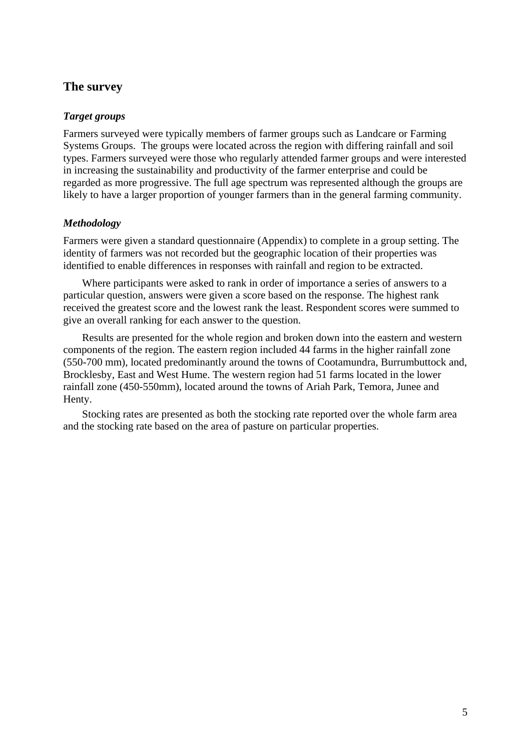## **The survey**

#### *Target groups*

Farmers surveyed were typically members of farmer groups such as Landcare or Farming Systems Groups. The groups were located across the region with differing rainfall and soil types. Farmers surveyed were those who regularly attended farmer groups and were interested in increasing the sustainability and productivity of the farmer enterprise and could be regarded as more progressive. The full age spectrum was represented although the groups are likely to have a larger proportion of younger farmers than in the general farming community.

#### *Methodology*

Farmers were given a standard questionnaire (Appendix) to complete in a group setting. The identity of farmers was not recorded but the geographic location of their properties was identified to enable differences in responses with rainfall and region to be extracted.

 Where participants were asked to rank in order of importance a series of answers to a particular question, answers were given a score based on the response. The highest rank received the greatest score and the lowest rank the least. Respondent scores were summed to give an overall ranking for each answer to the question.

 Results are presented for the whole region and broken down into the eastern and western components of the region. The eastern region included 44 farms in the higher rainfall zone (550-700 mm), located predominantly around the towns of Cootamundra, Burrumbuttock and, Brocklesby, East and West Hume. The western region had 51 farms located in the lower rainfall zone (450-550mm), located around the towns of Ariah Park, Temora, Junee and Henty.

 Stocking rates are presented as both the stocking rate reported over the whole farm area and the stocking rate based on the area of pasture on particular properties.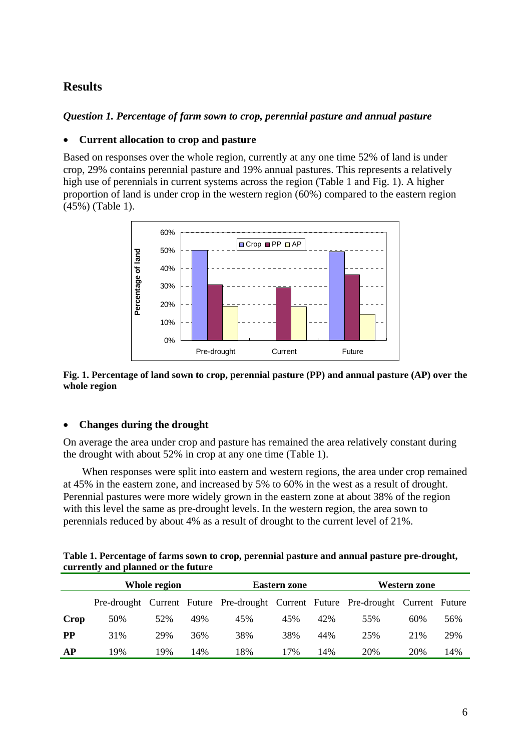## **Results**

#### *Question 1. Percentage of farm sown to crop, perennial pasture and annual pasture*

#### • **Current allocation to crop and pasture**

Based on responses over the whole region, currently at any one time 52% of land is under crop, 29% contains perennial pasture and 19% annual pastures. This represents a relatively high use of perennials in current systems across the region (Table 1 and Fig. 1). A higher proportion of land is under crop in the western region (60%) compared to the eastern region (45%) (Table 1).



#### **Fig. 1. Percentage of land sown to crop, perennial pasture (PP) and annual pasture (AP) over the whole region**

#### • **Changes during the drought**

On average the area under crop and pasture has remained the area relatively constant during the drought with about 52% in crop at any one time (Table 1).

 When responses were split into eastern and western regions, the area under crop remained at 45% in the eastern zone, and increased by 5% to 60% in the west as a result of drought. Perennial pastures were more widely grown in the eastern zone at about 38% of the region with this level the same as pre-drought levels. In the western region, the area sown to perennials reduced by about 4% as a result of drought to the current level of 21%.

| Table 1. Percentage of farms sown to crop, perennial pasture and annual pasture pre-drought, |  |
|----------------------------------------------------------------------------------------------|--|
| currently and planned or the future                                                          |  |

|           | Whole region |     |     |                                                                                  | <b>Eastern zone</b> |     | Western zone |      |     |  |  |
|-----------|--------------|-----|-----|----------------------------------------------------------------------------------|---------------------|-----|--------------|------|-----|--|--|
|           |              |     |     | Pre-drought Current Future Pre-drought Current Future Pre-drought Current Future |                     |     |              |      |     |  |  |
| Crop      | 50%          | 52% | 49% | 45%                                                                              | 45%                 | 42% | 55%          | 60%  | 56% |  |  |
| <b>PP</b> | 31%          | 29% | 36% | 38%                                                                              | 38%                 | 44% | 25%          | 21\% | 29% |  |  |
| AP        | 19%          | 19% | 14% | 18%                                                                              | 17%                 | 14% | 20%          | 20%  | 14% |  |  |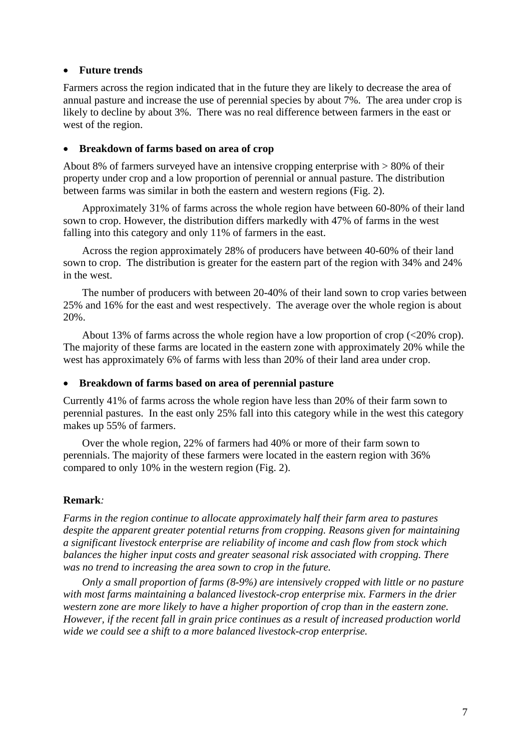#### • **Future trends**

Farmers across the region indicated that in the future they are likely to decrease the area of annual pasture and increase the use of perennial species by about 7%. The area under crop is likely to decline by about 3%. There was no real difference between farmers in the east or west of the region.

#### • **Breakdown of farms based on area of crop**

About 8% of farmers surveyed have an intensive cropping enterprise with > 80% of their property under crop and a low proportion of perennial or annual pasture. The distribution between farms was similar in both the eastern and western regions (Fig. 2).

 Approximately 31% of farms across the whole region have between 60-80% of their land sown to crop. However, the distribution differs markedly with 47% of farms in the west falling into this category and only 11% of farmers in the east.

 Across the region approximately 28% of producers have between 40-60% of their land sown to crop. The distribution is greater for the eastern part of the region with 34% and 24% in the west.

 The number of producers with between 20-40% of their land sown to crop varies between 25% and 16% for the east and west respectively. The average over the whole region is about 20%.

 About 13% of farms across the whole region have a low proportion of crop (<20% crop). The majority of these farms are located in the eastern zone with approximately 20% while the west has approximately 6% of farms with less than 20% of their land area under crop.

#### • **Breakdown of farms based on area of perennial pasture**

Currently 41% of farms across the whole region have less than 20% of their farm sown to perennial pastures. In the east only 25% fall into this category while in the west this category makes up 55% of farmers.

 Over the whole region, 22% of farmers had 40% or more of their farm sown to perennials. The majority of these farmers were located in the eastern region with 36% compared to only 10% in the western region (Fig. 2).

#### **Remark***:*

*Farms in the region continue to allocate approximately half their farm area to pastures despite the apparent greater potential returns from cropping. Reasons given for maintaining a significant livestock enterprise are reliability of income and cash flow from stock which balances the higher input costs and greater seasonal risk associated with cropping. There was no trend to increasing the area sown to crop in the future.* 

 *Only a small proportion of farms (8-9%) are intensively cropped with little or no pasture with most farms maintaining a balanced livestock-crop enterprise mix. Farmers in the drier western zone are more likely to have a higher proportion of crop than in the eastern zone. However, if the recent fall in grain price continues as a result of increased production world wide we could see a shift to a more balanced livestock-crop enterprise.*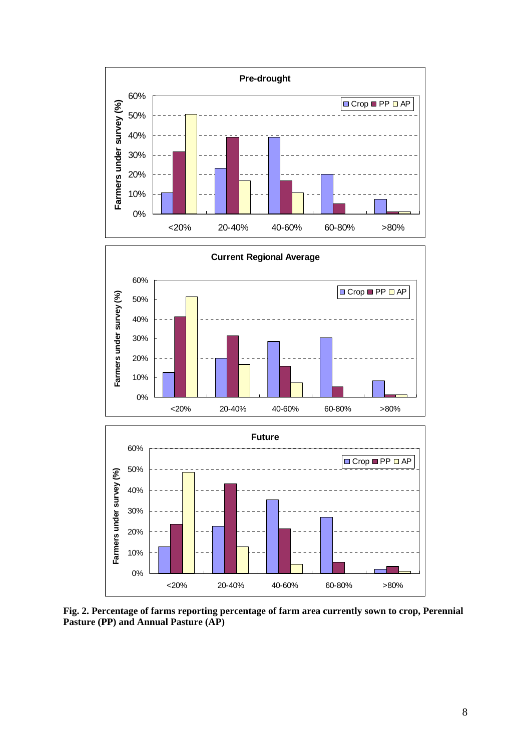



**Fig. 2. Percentage of farms reporting percentage of farm area currently sown to crop, Perennial Pasture (PP) and Annual Pasture (AP)**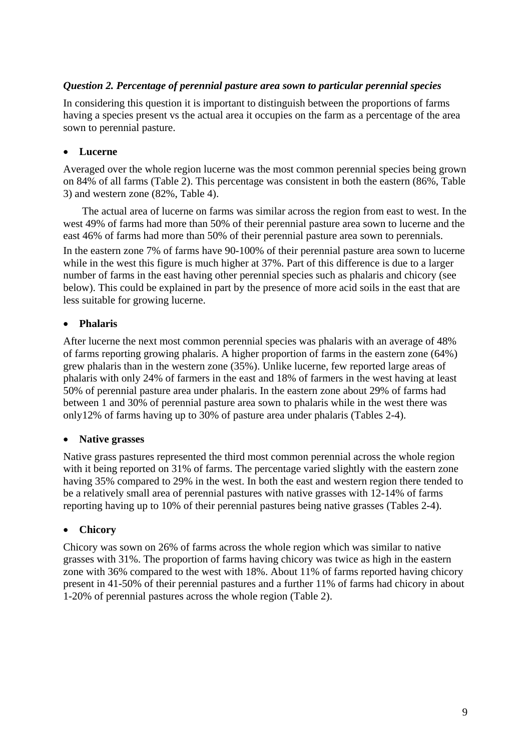#### *Question 2. Percentage of perennial pasture area sown to particular perennial species*

In considering this question it is important to distinguish between the proportions of farms having a species present vs the actual area it occupies on the farm as a percentage of the area sown to perennial pasture.

#### • **Lucerne**

Averaged over the whole region lucerne was the most common perennial species being grown on 84% of all farms (Table 2). This percentage was consistent in both the eastern (86%, Table 3) and western zone (82%, Table 4).

 The actual area of lucerne on farms was similar across the region from east to west. In the west 49% of farms had more than 50% of their perennial pasture area sown to lucerne and the east 46% of farms had more than 50% of their perennial pasture area sown to perennials. In the eastern zone 7% of farms have 90-100% of their perennial pasture area sown to lucerne while in the west this figure is much higher at 37%. Part of this difference is due to a larger number of farms in the east having other perennial species such as phalaris and chicory (see below). This could be explained in part by the presence of more acid soils in the east that are less suitable for growing lucerne.

#### • **Phalaris**

After lucerne the next most common perennial species was phalaris with an average of 48% of farms reporting growing phalaris. A higher proportion of farms in the eastern zone (64%) grew phalaris than in the western zone (35%). Unlike lucerne, few reported large areas of phalaris with only 24% of farmers in the east and 18% of farmers in the west having at least 50% of perennial pasture area under phalaris. In the eastern zone about 29% of farms had between 1 and 30% of perennial pasture area sown to phalaris while in the west there was only12% of farms having up to 30% of pasture area under phalaris (Tables 2-4).

#### • **Native grasses**

Native grass pastures represented the third most common perennial across the whole region with it being reported on 31% of farms. The percentage varied slightly with the eastern zone having 35% compared to 29% in the west. In both the east and western region there tended to be a relatively small area of perennial pastures with native grasses with 12-14% of farms reporting having up to 10% of their perennial pastures being native grasses (Tables 2-4).

#### • **Chicory**

Chicory was sown on 26% of farms across the whole region which was similar to native grasses with 31%. The proportion of farms having chicory was twice as high in the eastern zone with 36% compared to the west with 18%. About 11% of farms reported having chicory present in 41-50% of their perennial pastures and a further 11% of farms had chicory in about 1-20% of perennial pastures across the whole region (Table 2).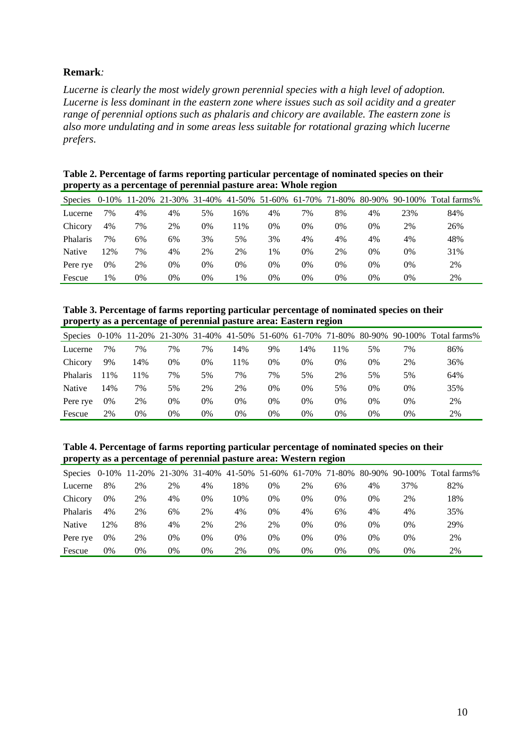#### **Remark***:*

*Lucerne is clearly the most widely grown perennial species with a high level of adoption. Lucerne is less dominant in the eastern zone where issues such as soil acidity and a greater range of perennial options such as phalaris and chicory are available. The eastern zone is also more undulating and in some areas less suitable for rotational grazing which lucerne prefers.* 

| Table 2. Percentage of farms reporting particular percentage of nominated species on their |  |
|--------------------------------------------------------------------------------------------|--|
| property as a percentage of perennial pasture area: Whole region                           |  |

| <b>Species</b>  | 0-10% | 11-20% | 21-30% 31-40% 41-50% 51-60% 61-70% |    |     |    |    | 71-80% | 80-90% | 90-100% | Total farms% |
|-----------------|-------|--------|------------------------------------|----|-----|----|----|--------|--------|---------|--------------|
| Lucerne         | 7%    | 4%     | 4%                                 | 5% | 16% | 4% | 7% | 8%     | 4%     | 23%     | 84%          |
| Chicory         | 4%    | 7%     | 2%                                 | 0% | 11% | 0% | 0% | 0%     | 0%     | 2%      | 26%          |
| <b>Phalaris</b> | 7%    | 6%     | 6%                                 | 3% | 5%  | 3% | 4% | 4%     | 4%     | 4%      | 48%          |
| Native          | 2%    | 7%     | 4%                                 | 2% | 2%  | 1% | 0% | 2%     | 0%     | 0%      | 31%          |
| Pere rye        | 0%    | 2%     | 0%                                 | 0% | 0%  | 0% | 0% | 0%     | 0%     | 0%      | 2%           |
| Fescue          | 1%    | 0%     | 0%                                 | 0% | 1%  | 0% | 0% | 0%     | 0%     | 0%      | 2%           |

**Table 3. Percentage of farms reporting particular percentage of nominated species on their property as a percentage of perennial pasture area: Eastern region** 

| Species 0-10% 11-20% |     |     |    |    | 21-30% 31-40% 41-50% 51-60% 61-70% |    |     | 71-80% | 80-90% | 90-100% | Total farms% |
|----------------------|-----|-----|----|----|------------------------------------|----|-----|--------|--------|---------|--------------|
| Lucerne              | 7%  | 7%  | 7% | 7% | 14%                                | 9% | .4% | $1\%$  | 5%     | 7%      | 86%          |
| Chicory              | 9%  | 14% | 0% | 0% | 11%                                | 0% | 0%  | 0%     | 0%     | 2%      | 36%          |
| Phalaris             | 1%  | 11% | 7% | 5% | 7%                                 | 7% | 5%  | 2%     | 5%     | 5%      | 64%          |
| Native               | 14% | 7%  | 5% | 2% | 2%                                 | 0% | 0%  | 5%     | 0%     | 0%      | 35%          |
| Pere rye             | 0%  | 2%  | 0% | 0% | 0%                                 | 0% | 0%  | 0%     | 0%     | 0%      | 2%           |
| Fescue               | 2%  | 0%  | 0% | 0% | 0%                                 | 0% | 0%  | 0%     | 0%     | 0%      | 2%           |

**Table 4. Percentage of farms reporting particular percentage of nominated species on their property as a percentage of perennial pasture area: Western region** 

|                 |    |    | Species 0-10% 11-20% 21-30% 31-40% 41-50% 51-60% 61-70% |    |     |    |    | 71-80% | 80-90% | 90-100% | Total farms% |
|-----------------|----|----|---------------------------------------------------------|----|-----|----|----|--------|--------|---------|--------------|
| Lucerne         | 8% | 2% | 2%                                                      | 4% | 18% | 0% | 2% | 6%     | 4%     | 37%     | 82%          |
| Chicory         | 0% | 2% | 4%                                                      | 0% | 10% | 0% | 0% | 0%     | 0%     | 2%      | 18%          |
| <b>Phalaris</b> | 4% | 2% | 6%                                                      | 2% | 4%  | 0% | 4% | 6%     | 4%     | 4%      | 35%          |
| Native          | 2% | 8% | 4%                                                      | 2% | 2%  | 2% | 0% | 0%     | 0%     | 0%      | 29%          |
| Pere rye        | 0% | 2% | 0%                                                      | 0% | 0%  | 0% | 0% | 0%     | 0%     | 0%      | 2%           |
| Fescue          | 0% | 0% | 0%                                                      | 0% | 2%  | 0% | 0% | 0%     | 0%     | 0%      | 2%           |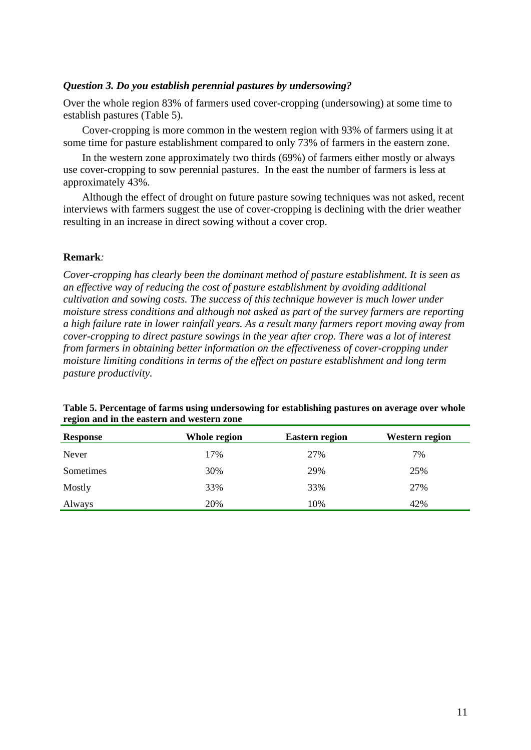#### *Question 3. Do you establish perennial pastures by undersowing?*

Over the whole region 83% of farmers used cover-cropping (undersowing) at some time to establish pastures (Table 5).

 Cover-cropping is more common in the western region with 93% of farmers using it at some time for pasture establishment compared to only 73% of farmers in the eastern zone.

 In the western zone approximately two thirds (69%) of farmers either mostly or always use cover-cropping to sow perennial pastures. In the east the number of farmers is less at approximately 43%.

 Although the effect of drought on future pasture sowing techniques was not asked, recent interviews with farmers suggest the use of cover-cropping is declining with the drier weather resulting in an increase in direct sowing without a cover crop.

#### **Remark***:*

*Cover-cropping has clearly been the dominant method of pasture establishment. It is seen as an effective way of reducing the cost of pasture establishment by avoiding additional cultivation and sowing costs. The success of this technique however is much lower under moisture stress conditions and although not asked as part of the survey farmers are reporting a high failure rate in lower rainfall years. As a result many farmers report moving away from cover-cropping to direct pasture sowings in the year after crop. There was a lot of interest from farmers in obtaining better information on the effectiveness of cover-cropping under moisture limiting conditions in terms of the effect on pasture establishment and long term pasture productivity.* 

| <b>Response</b> | Whole region | <b>Eastern region</b> | <b>Western region</b> |
|-----------------|--------------|-----------------------|-----------------------|
| Never           | 17%          | 27%                   | 7%                    |
| Sometimes       | 30%          | 29%                   | 25%                   |
| Mostly          | 33%          | 33%                   | 27%                   |
| Always          | 20%          | 10%                   | 42%                   |

#### **Table 5. Percentage of farms using undersowing for establishing pastures on average over whole region and in the eastern and western zone**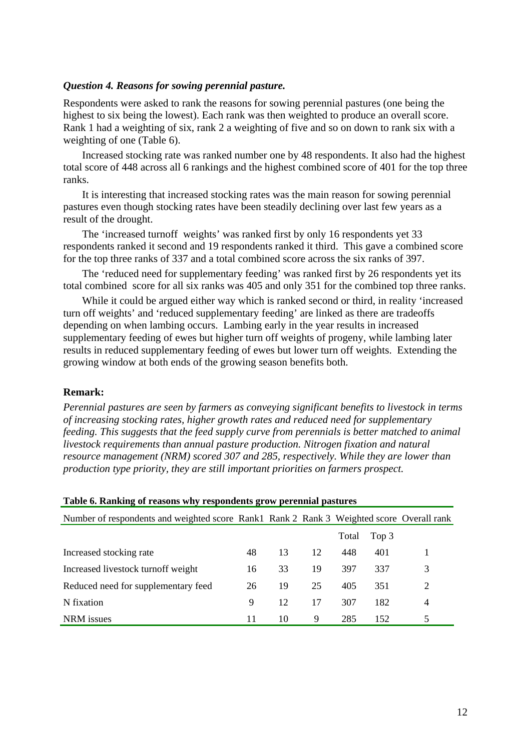#### *Question 4. Reasons for sowing perennial pasture.*

Respondents were asked to rank the reasons for sowing perennial pastures (one being the highest to six being the lowest). Each rank was then weighted to produce an overall score. Rank 1 had a weighting of six, rank 2 a weighting of five and so on down to rank six with a weighting of one (Table 6).

 Increased stocking rate was ranked number one by 48 respondents. It also had the highest total score of 448 across all 6 rankings and the highest combined score of 401 for the top three ranks.

 It is interesting that increased stocking rates was the main reason for sowing perennial pastures even though stocking rates have been steadily declining over last few years as a result of the drought.

 The 'increased turnoff weights' was ranked first by only 16 respondents yet 33 respondents ranked it second and 19 respondents ranked it third. This gave a combined score for the top three ranks of 337 and a total combined score across the six ranks of 397.

 The 'reduced need for supplementary feeding' was ranked first by 26 respondents yet its total combined score for all six ranks was 405 and only 351 for the combined top three ranks.

 While it could be argued either way which is ranked second or third, in reality 'increased turn off weights' and 'reduced supplementary feeding' are linked as there are tradeoffs depending on when lambing occurs. Lambing early in the year results in increased supplementary feeding of ewes but higher turn off weights of progeny, while lambing later results in reduced supplementary feeding of ewes but lower turn off weights. Extending the growing window at both ends of the growing season benefits both.

#### **Remark:**

*Perennial pastures are seen by farmers as conveying significant benefits to livestock in terms of increasing stocking rates, higher growth rates and reduced need for supplementary feeding. This suggests that the feed supply curve from perennials is better matched to animal livestock requirements than annual pasture production. Nitrogen fixation and natural resource management (NRM) scored 307 and 285, respectively. While they are lower than production type priority, they are still important priorities on farmers prospect.* 

| Table 6. Ranking of reasons why respondents grow perennial pastures                      |    |    |    |       |       |   |
|------------------------------------------------------------------------------------------|----|----|----|-------|-------|---|
| Number of respondents and weighted score Rank1 Rank 2 Rank 3 Weighted score Overall rank |    |    |    |       |       |   |
|                                                                                          |    |    |    | Total | Top 3 |   |
| Increased stocking rate                                                                  | 48 | 13 | 12 | 448   | 401   |   |
| Increased livestock turnoff weight                                                       | 16 | 33 | 19 | 397   | 337   | 3 |
| Reduced need for supplementary feed                                                      | 26 | 19 | 25 | 405   | 351   | 2 |
| N fixation                                                                               | 9  | 12 | 17 | 307   | 182   | 4 |
| NRM issues                                                                               | 11 | 10 | 9  | 285   | 152   | 5 |

12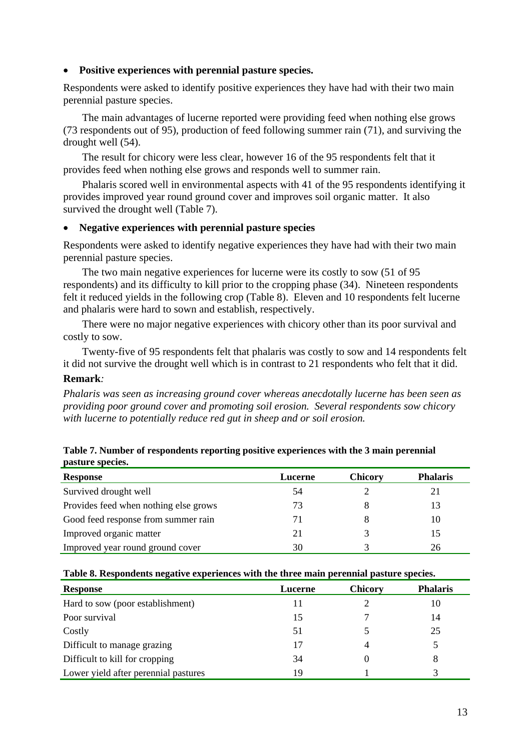#### • **Positive experiences with perennial pasture species.**

Respondents were asked to identify positive experiences they have had with their two main perennial pasture species.

 The main advantages of lucerne reported were providing feed when nothing else grows (73 respondents out of 95), production of feed following summer rain (71), and surviving the drought well (54).

 The result for chicory were less clear, however 16 of the 95 respondents felt that it provides feed when nothing else grows and responds well to summer rain.

 Phalaris scored well in environmental aspects with 41 of the 95 respondents identifying it provides improved year round ground cover and improves soil organic matter. It also survived the drought well (Table 7).

#### • **Negative experiences with perennial pasture species**

Respondents were asked to identify negative experiences they have had with their two main perennial pasture species.

 The two main negative experiences for lucerne were its costly to sow (51 of 95 respondents) and its difficulty to kill prior to the cropping phase (34). Nineteen respondents felt it reduced yields in the following crop (Table 8). Eleven and 10 respondents felt lucerne and phalaris were hard to sown and establish, respectively.

 There were no major negative experiences with chicory other than its poor survival and costly to sow.

 Twenty-five of 95 respondents felt that phalaris was costly to sow and 14 respondents felt it did not survive the drought well which is in contrast to 21 respondents who felt that it did.

#### **Remark***:*

*Phalaris was seen as increasing ground cover whereas anecdotally lucerne has been seen as providing poor ground cover and promoting soil erosion. Several respondents sow chicory with lucerne to potentially reduce red gut in sheep and or soil erosion.* 

| pasture species.                      |         |                |                 |
|---------------------------------------|---------|----------------|-----------------|
| <b>Response</b>                       | Lucerne | <b>Chicory</b> | <b>Phalaris</b> |
| Survived drought well                 | 54      |                |                 |
| Provides feed when nothing else grows | 73      |                |                 |

Good feed response from summer rain 71 8 10 Improved organic matter 21 3 15 Improved year round ground cover 30 3 3 3 26

| Table 7. Number of respondents reporting positive experiences with the 3 main perennial |  |
|-----------------------------------------------------------------------------------------|--|
| pasture species.                                                                        |  |

| Table 8. Respondents negative experiences with the three main perennial pasture species. |  |  |  |  |  |
|------------------------------------------------------------------------------------------|--|--|--|--|--|
|------------------------------------------------------------------------------------------|--|--|--|--|--|

| <b>Response</b>                      | Lucerne | <b>Chicory</b> | <b>Phalaris</b> |
|--------------------------------------|---------|----------------|-----------------|
| Hard to sow (poor establishment)     | 11      |                | 10              |
| Poor survival                        | 15      | 7              | 14              |
| Costly                               | 51      |                | 25              |
| Difficult to manage grazing          | 17      |                |                 |
| Difficult to kill for cropping       | 34      |                | 8               |
| Lower yield after perennial pastures | 19      |                |                 |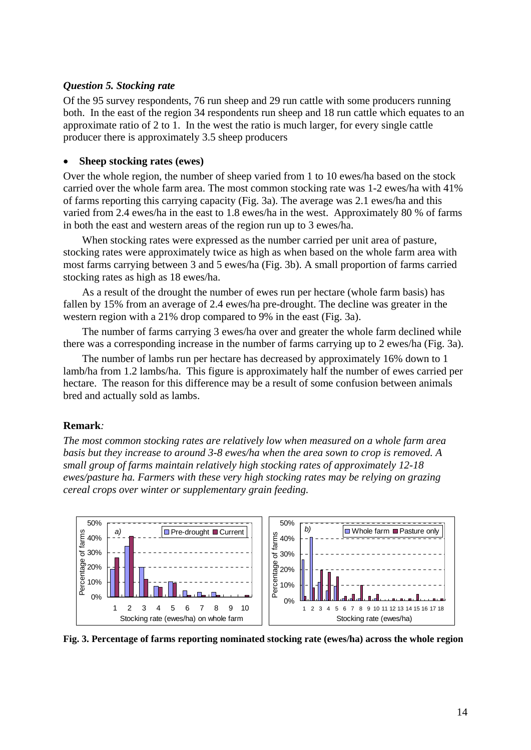#### *Question 5. Stocking rate*

Of the 95 survey respondents, 76 run sheep and 29 run cattle with some producers running both. In the east of the region 34 respondents run sheep and 18 run cattle which equates to an approximate ratio of 2 to 1. In the west the ratio is much larger, for every single cattle producer there is approximately 3.5 sheep producers

#### • **Sheep stocking rates (ewes)**

Over the whole region, the number of sheep varied from 1 to 10 ewes/ha based on the stock carried over the whole farm area. The most common stocking rate was 1-2 ewes/ha with 41% of farms reporting this carrying capacity (Fig. 3a). The average was 2.1 ewes/ha and this varied from 2.4 ewes/ha in the east to 1.8 ewes/ha in the west. Approximately 80 % of farms in both the east and western areas of the region run up to 3 ewes/ha.

 When stocking rates were expressed as the number carried per unit area of pasture, stocking rates were approximately twice as high as when based on the whole farm area with most farms carrying between 3 and 5 ewes/ha (Fig. 3b). A small proportion of farms carried stocking rates as high as 18 ewes/ha.

 As a result of the drought the number of ewes run per hectare (whole farm basis) has fallen by 15% from an average of 2.4 ewes/ha pre-drought. The decline was greater in the western region with a 21% drop compared to 9% in the east (Fig. 3a).

 The number of farms carrying 3 ewes/ha over and greater the whole farm declined while there was a corresponding increase in the number of farms carrying up to 2 ewes/ha (Fig. 3a).

 The number of lambs run per hectare has decreased by approximately 16% down to 1 lamb/ha from 1.2 lambs/ha. This figure is approximately half the number of ewes carried per hectare. The reason for this difference may be a result of some confusion between animals bred and actually sold as lambs.

#### **Remark***:*

*The most common stocking rates are relatively low when measured on a whole farm area basis but they increase to around 3-8 ewes/ha when the area sown to crop is removed. A small group of farms maintain relatively high stocking rates of approximately 12-18 ewes/pasture ha. Farmers with these very high stocking rates may be relying on grazing cereal crops over winter or supplementary grain feeding.* 



**Fig. 3. Percentage of farms reporting nominated stocking rate (ewes/ha) across the whole region**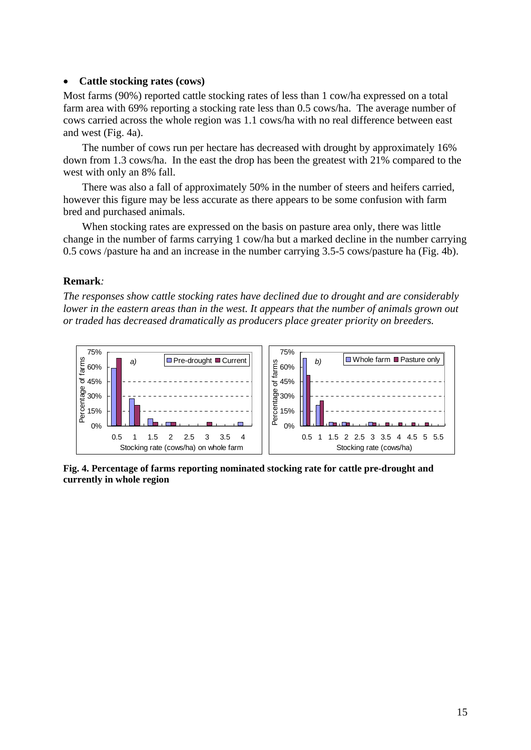#### • **Cattle stocking rates (cows)**

Most farms (90%) reported cattle stocking rates of less than 1 cow/ha expressed on a total farm area with 69% reporting a stocking rate less than 0.5 cows/ha. The average number of cows carried across the whole region was 1.1 cows/ha with no real difference between east and west (Fig. 4a).

 The number of cows run per hectare has decreased with drought by approximately 16% down from 1.3 cows/ha. In the east the drop has been the greatest with 21% compared to the west with only an 8% fall.

 There was also a fall of approximately 50% in the number of steers and heifers carried, however this figure may be less accurate as there appears to be some confusion with farm bred and purchased animals.

 When stocking rates are expressed on the basis on pasture area only, there was little change in the number of farms carrying 1 cow/ha but a marked decline in the number carrying 0.5 cows /pasture ha and an increase in the number carrying 3.5-5 cows/pasture ha (Fig. 4b).

#### **Remark***:*

*The responses show cattle stocking rates have declined due to drought and are considerably lower in the eastern areas than in the west. It appears that the number of animals grown out or traded has decreased dramatically as producers place greater priority on breeders.* 



**Fig. 4. Percentage of farms reporting nominated stocking rate for cattle pre-drought and currently in whole region**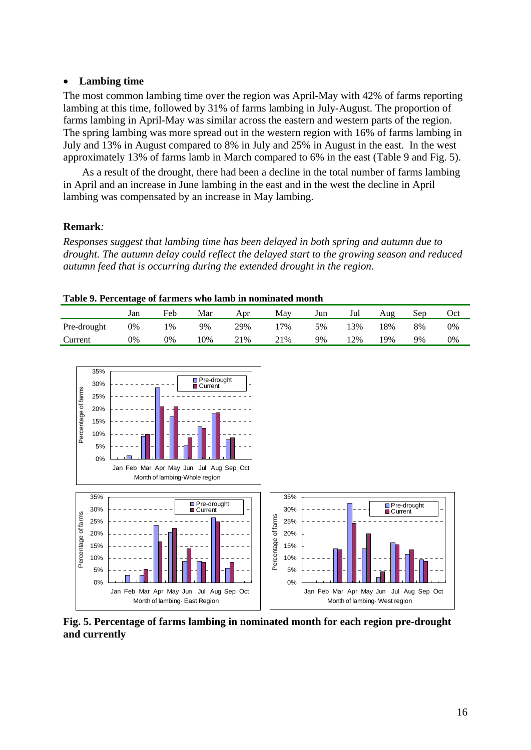#### • **Lambing time**

The most common lambing time over the region was April-May with 42% of farms reporting lambing at this time, followed by 31% of farms lambing in July-August. The proportion of farms lambing in April-May was similar across the eastern and western parts of the region. The spring lambing was more spread out in the western region with 16% of farms lambing in July and 13% in August compared to 8% in July and 25% in August in the east. In the west approximately 13% of farms lamb in March compared to 6% in the east (Table 9 and Fig. 5).

 As a result of the drought, there had been a decline in the total number of farms lambing in April and an increase in June lambing in the east and in the west the decline in April lambing was compensated by an increase in May lambing.

#### **Remark***:*

*Responses suggest that lambing time has been delayed in both spring and autumn due to drought. The autumn delay could reflect the delayed start to the growing season and reduced autumn feed that is occurring during the extended drought in the region*.

|  |  | Table 9. Percentage of farmers who lamb in nominated month |
|--|--|------------------------------------------------------------|
|  |  |                                                            |

|             | Jan | Feb | Mar | Apr | May | Jun | Jul | Aug | Sep | Oct |
|-------------|-----|-----|-----|-----|-----|-----|-----|-----|-----|-----|
| Pre-drought | 0%  | 1%  | 9%  | 29% | 7%  | 5%  | 3%  | 18% | 8%  | 0%  |
| Current     | 0%  | 0%  | .0% | 21% | 21% | 9%  | 2%  | 19% | 9%  | 0%  |



**Fig. 5. Percentage of farms lambing in nominated month for each region pre-drought and currently**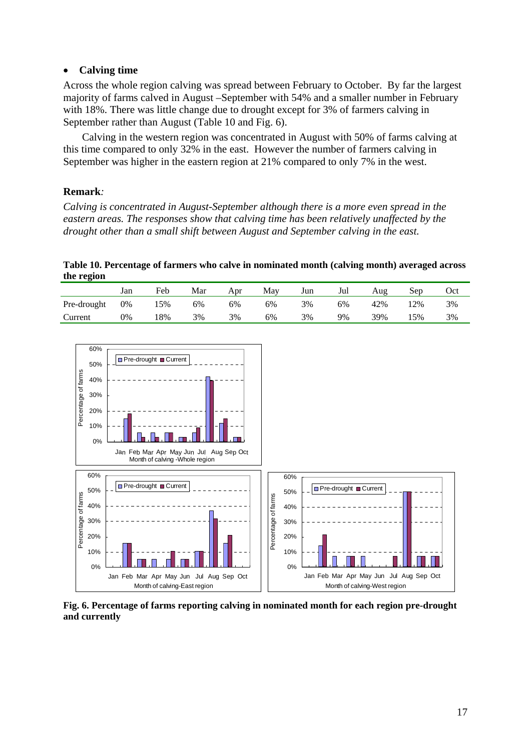#### • **Calving time**

Across the whole region calving was spread between February to October. By far the largest majority of farms calved in August –September with 54% and a smaller number in February with 18%. There was little change due to drought except for 3% of farmers calving in September rather than August (Table 10 and Fig. 6).

 Calving in the western region was concentrated in August with 50% of farms calving at this time compared to only 32% in the east. However the number of farmers calving in September was higher in the eastern region at 21% compared to only 7% in the west.

#### **Remark***:*

*Calving is concentrated in August-September although there is a more even spread in the eastern areas. The responses show that calving time has been relatively unaffected by the drought other than a small shift between August and September calving in the east.* 

**Table 10. Percentage of farmers who calve in nominated month (calving month) averaged across the region** 

|             | Jan | Feb | Mar | Apr | Mav | Jun | Jul | Aug | sep | Oct |
|-------------|-----|-----|-----|-----|-----|-----|-----|-----|-----|-----|
| Pre-drought | 0%  | 15% | 6%  | 6%  | 6%  | 3%  | 6%  | 42% | 2%  | 3%  |
| Current     | 0%  | 18% | 3%  | 3%  | 6%  | 3%  | 9%  | 39% | 15% | 3%  |



**Fig. 6. Percentage of farms reporting calving in nominated month for each region pre-drought and currently**